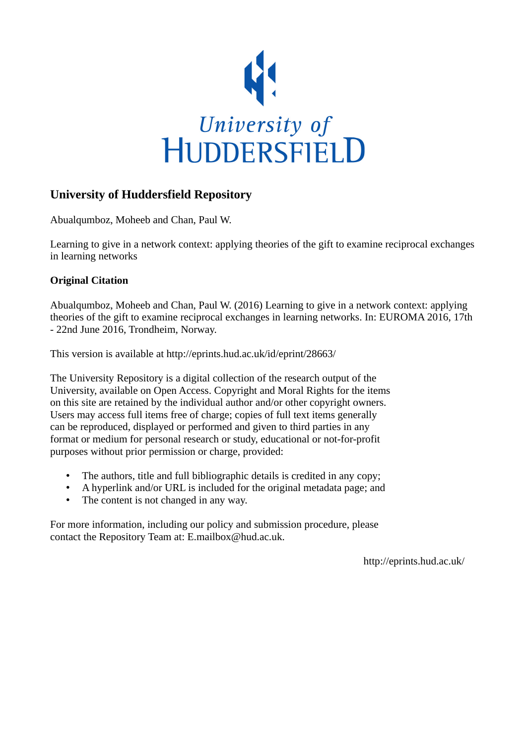

## **University of Huddersfield Repository**

Abualqumboz, Moheeb and Chan, Paul W.

Learning to give in a network context: applying theories of the gift to examine reciprocal exchanges in learning networks

## **Original Citation**

Abualqumboz, Moheeb and Chan, Paul W. (2016) Learning to give in a network context: applying theories of the gift to examine reciprocal exchanges in learning networks. In: EUROMA 2016, 17th - 22nd June 2016, Trondheim, Norway.

This version is available at http://eprints.hud.ac.uk/id/eprint/28663/

The University Repository is a digital collection of the research output of the University, available on Open Access. Copyright and Moral Rights for the items on this site are retained by the individual author and/or other copyright owners. Users may access full items free of charge; copies of full text items generally can be reproduced, displayed or performed and given to third parties in any format or medium for personal research or study, educational or not-for-profit purposes without prior permission or charge, provided:

- The authors, title and full bibliographic details is credited in any copy;
- A hyperlink and/or URL is included for the original metadata page; and
- The content is not changed in any way.

For more information, including our policy and submission procedure, please contact the Repository Team at: E.mailbox@hud.ac.uk.

http://eprints.hud.ac.uk/